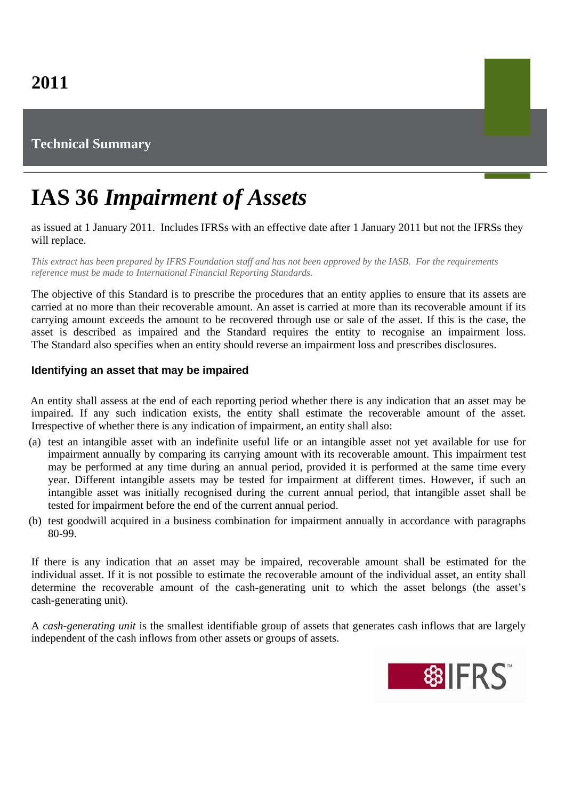## **Technical Summary**

# **IAS 36** *Impairment of Assets*

as issued at 1 January 2011. Includes IFRSs with an effective date after 1 January 2011 but not the IFRSs they will replace.

*This extract has been prepared by IFRS Foundation staff and has not been approved by the IASB. For the requirements reference must be made to International Financial Reporting Standards.*

The objective of this Standard is to prescribe the procedures that an entity applies to ensure that its assets are carried at no more than their recoverable amount. An asset is carried at more than its recoverable amount if its carrying amount exceeds the amount to be recovered through use or sale of the asset. If this is the case, the asset is described as impaired and the Standard requires the entity to recognise an impairment loss. The Standard also specifies when an entity should reverse an impairment loss and prescribes disclosures.

#### **Identifying an asset that may be impaired**

An entity shall assess at the end of each reporting period whether there is any indication that an asset may be impaired. If any such indication exists, the entity shall estimate the recoverable amount of the asset. Irrespective of whether there is any indication of impairment, an entity shall also:

- (a) test an intangible asset with an indefinite useful life or an intangible asset not yet available for use for impairment annually by comparing its carrying amount with its recoverable amount. This impairment test may be performed at any time during an annual period, provided it is performed at the same time every year. Different intangible assets may be tested for impairment at different times. However, if such an intangible asset was initially recognised during the current annual period, that intangible asset shall be tested for impairment before the end of the current annual period.
- (b) test goodwill acquired in a business combination for impairment annually in accordance with paragraphs 80-99.

If there is any indication that an asset may be impaired, recoverable amount shall be estimated for the individual asset. If it is not possible to estimate the recoverable amount of the individual asset, an entity shall determine the recoverable amount of the cash-generating unit to which the asset belongs (the asset's cash-generating unit).

A *cash-generating unit* is the smallest identifiable group of assets that generates cash inflows that are largely independent of the cash inflows from other assets or groups of assets.

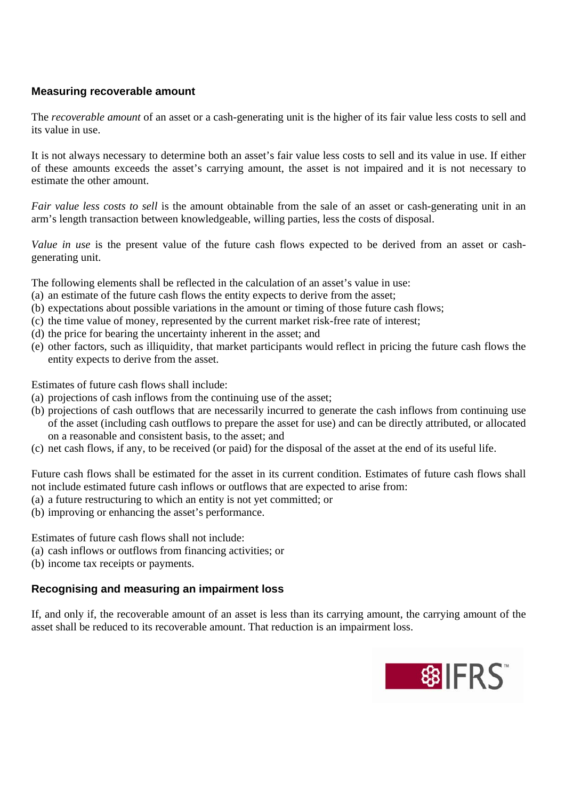### **Measuring recoverable amount**

The *recoverable amount* of an asset or a cash-generating unit is the higher of its fair value less costs to sell and its value in use.

It is not always necessary to determine both an asset's fair value less costs to sell and its value in use. If either of these amounts exceeds the asset's carrying amount, the asset is not impaired and it is not necessary to estimate the other amount.

*Fair value less costs to sell* is the amount obtainable from the sale of an asset or cash-generating unit in an arm's length transaction between knowledgeable, willing parties, less the costs of disposal.

*Value in use* is the present value of the future cash flows expected to be derived from an asset or cashgenerating unit.

The following elements shall be reflected in the calculation of an asset's value in use:

- (a) an estimate of the future cash flows the entity expects to derive from the asset;
- (b) expectations about possible variations in the amount or timing of those future cash flows;
- (c) the time value of money, represented by the current market risk-free rate of interest;
- (d) the price for bearing the uncertainty inherent in the asset; and
- (e) other factors, such as illiquidity, that market participants would reflect in pricing the future cash flows the entity expects to derive from the asset.

Estimates of future cash flows shall include:

- (a) projections of cash inflows from the continuing use of the asset;
- (b) projections of cash outflows that are necessarily incurred to generate the cash inflows from continuing use of the asset (including cash outflows to prepare the asset for use) and can be directly attributed, or allocated on a reasonable and consistent basis, to the asset; and
- (c) net cash flows, if any, to be received (or paid) for the disposal of the asset at the end of its useful life.

Future cash flows shall be estimated for the asset in its current condition. Estimates of future cash flows shall not include estimated future cash inflows or outflows that are expected to arise from:

- (a) a future restructuring to which an entity is not yet committed; or
- (b) improving or enhancing the asset's performance.

Estimates of future cash flows shall not include:

- (a) cash inflows or outflows from financing activities; or
- (b) income tax receipts or payments.

#### **Recognising and measuring an impairment loss**

If, and only if, the recoverable amount of an asset is less than its carrying amount, the carrying amount of the asset shall be reduced to its recoverable amount. That reduction is an impairment loss.

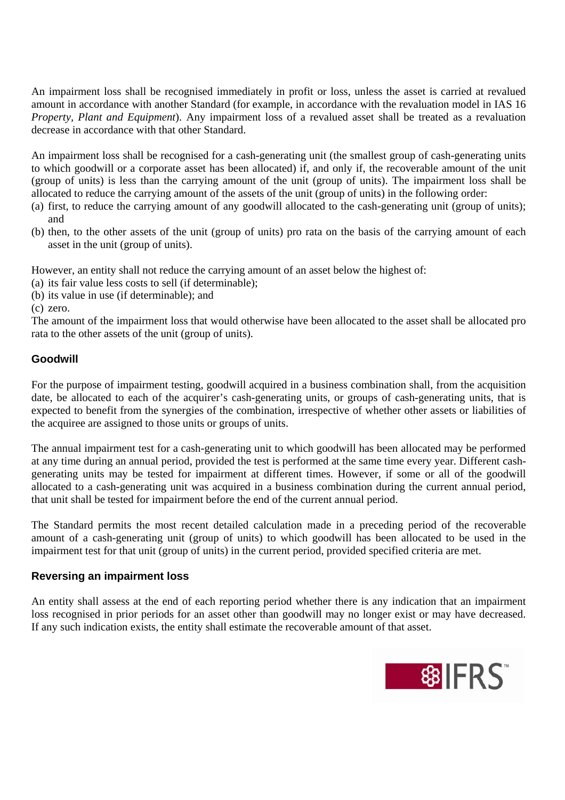An impairment loss shall be recognised immediately in profit or loss, unless the asset is carried at revalued amount in accordance with another Standard (for example, in accordance with the revaluation model in IAS 16 *Property, Plant and Equipment*). Any impairment loss of a revalued asset shall be treated as a revaluation decrease in accordance with that other Standard.

An impairment loss shall be recognised for a cash-generating unit (the smallest group of cash-generating units to which goodwill or a corporate asset has been allocated) if, and only if, the recoverable amount of the unit (group of units) is less than the carrying amount of the unit (group of units). The impairment loss shall be allocated to reduce the carrying amount of the assets of the unit (group of units) in the following order:

- (a) first, to reduce the carrying amount of any goodwill allocated to the cash-generating unit (group of units); and
- (b) then, to the other assets of the unit (group of units) pro rata on the basis of the carrying amount of each asset in the unit (group of units).

However, an entity shall not reduce the carrying amount of an asset below the highest of:

- (a) its fair value less costs to sell (if determinable);
- (b) its value in use (if determinable); and
- (c) zero.

The amount of the impairment loss that would otherwise have been allocated to the asset shall be allocated pro rata to the other assets of the unit (group of units).

### **Goodwill**

For the purpose of impairment testing, goodwill acquired in a business combination shall, from the acquisition date, be allocated to each of the acquirer's cash-generating units, or groups of cash-generating units, that is expected to benefit from the synergies of the combination, irrespective of whether other assets or liabilities of the acquiree are assigned to those units or groups of units.

The annual impairment test for a cash-generating unit to which goodwill has been allocated may be performed at any time during an annual period, provided the test is performed at the same time every year. Different cashgenerating units may be tested for impairment at different times. However, if some or all of the goodwill allocated to a cash-generating unit was acquired in a business combination during the current annual period, that unit shall be tested for impairment before the end of the current annual period.

The Standard permits the most recent detailed calculation made in a preceding period of the recoverable amount of a cash-generating unit (group of units) to which goodwill has been allocated to be used in the impairment test for that unit (group of units) in the current period, provided specified criteria are met.

### **Reversing an impairment loss**

An entity shall assess at the end of each reporting period whether there is any indication that an impairment loss recognised in prior periods for an asset other than goodwill may no longer exist or may have decreased. If any such indication exists, the entity shall estimate the recoverable amount of that asset.